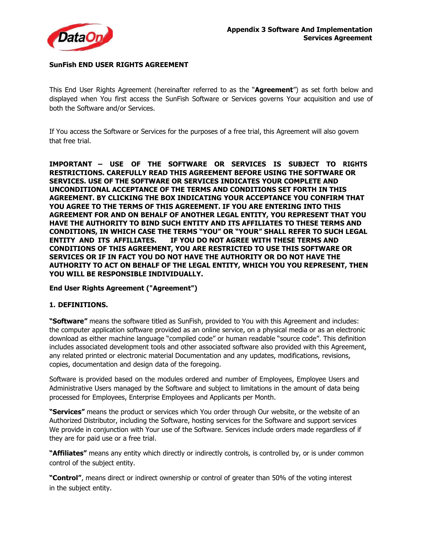

#### **SunFish END USER RIGHTS AGREEMENT**

This End User Rights Agreement (hereinafter referred to as the "**Agreement**") as set forth below and displayed when You first access the SunFish Software or Services governs Your acquisition and use of both the Software and/or Services.

If You access the Software or Services for the purposes of a free trial, this Agreement will also govern that free trial.

**IMPORTANT – USE OF THE SOFTWARE OR SERVICES IS SUBJECT TO RIGHTS RESTRICTIONS. CAREFULLY READ THIS AGREEMENT BEFORE USING THE SOFTWARE OR SERVICES. USE OF THE SOFTWARE OR SERVICES INDICATES YOUR COMPLETE AND UNCONDITIONAL ACCEPTANCE OF THE TERMS AND CONDITIONS SET FORTH IN THIS AGREEMENT. BY CLICKING THE BOX INDICATING YOUR ACCEPTANCE YOU CONFIRM THAT YOU AGREE TO THE TERMS OF THIS AGREEMENT. IF YOU ARE ENTERING INTO THIS AGREEMENT FOR AND ON BEHALF OF ANOTHER LEGAL ENTITY, YOU REPRESENT THAT YOU HAVE THE AUTHORITY TO BIND SUCH ENTITY AND ITS AFFILIATES TO THESE TERMS AND CONDITIONS, IN WHICH CASE THE TERMS "YOU" OR "YOUR" SHALL REFER TO SUCH LEGAL ENTITY AND ITS AFFILIATES. IF YOU DO NOT AGREE WITH THESE TERMS AND CONDITIONS OF THIS AGREEMENT, YOU ARE RESTRICTED TO USE THIS SOFTWARE OR SERVICES OR IF IN FACT YOU DO NOT HAVE THE AUTHORITY OR DO NOT HAVE THE AUTHORITY TO ACT ON BEHALF OF THE LEGAL ENTITY, WHICH YOU YOU REPRESENT, THEN YOU WILL BE RESPONSIBLE INDIVIDUALLY.**

#### **End User Rights Agreement ("Agreement")**

#### **1. DEFINITIONS.**

**"Software"** means the software titled as SunFish, provided to You with this Agreement and includes: the computer application software provided as an online service, on a physical media or as an electronic download as either machine language "compiled code" or human readable "source code". This definition includes associated development tools and other associated software also provided with this Agreement, any related printed or electronic material Documentation and any updates, modifications, revisions, copies, documentation and design data of the foregoing.

Software is provided based on the modules ordered and number of Employees, Employee Users and Administrative Users managed by the Software and subject to limitations in the amount of data being processed for Employees, Enterprise Employees and Applicants per Month.

**"Services"** means the product or services which You order through Our website, or the website of an Authorized Distributor, including the Software, hosting services for the Software and support services We provide in conjunction with Your use of the Software. Services include orders made regardless of if they are for paid use or a free trial.

**"Affiliates"** means any entity which directly or indirectly controls, is controlled by, or is under common control of the subject entity.

**"Control"**, means direct or indirect ownership or control of greater than 50% of the voting interest in the subject entity.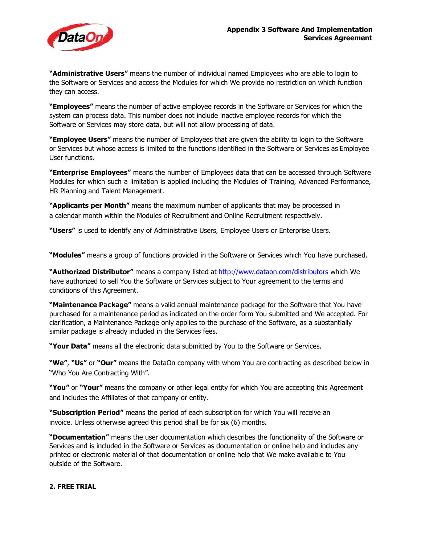

**"Administrative Users"** means the number of individual named Employees who are able to login to the Software or Services and access the Modules for which We provide no restriction on which function they can access.

**"Employees"** means the number of active employee records in the Software or Services for which the system can process data. This number does not include inactive employee records for which the Software or Services may store data, but will not allow processing of data.

**"Employee Users"** means the number of Employees that are given the ability to login to the Software or Services but whose access is limited to the functions identified in the Software or Services as Employee User functions.

**"Enterprise Employees"** means the number of Employees data that can be accessed through Software Modules for which such a limitation is applied including the Modules of Training, Advanced Performance, HR Planning and Talent Management.

**"Applicants per Month"** means the maximum number of applicants that may be processed in a calendar month within the Modules of Recruitment and Online Recruitment respectively.

**"Users"** is used to identify any of Administrative Users, Employee Users or Enterprise Users.

**"Modules"** means a group of functions provided in the Software or Services which You have purchased.

**"Authorized Distributor"** means a company listed at http://www.dataon.com/distributors which We have authorized to sell You the Software or Services subject to Your agreement to the terms and conditions of this Agreement.

**"Maintenance Package"** means a valid annual maintenance package for the Software that You have purchased for a maintenance period as indicated on the order form You submitted and We accepted. For clarification, a Maintenance Package only applies to the purchase of the Software, as a substantially similar package is already included in the Services fees.

**"Your Data"** means all the electronic data submitted by You to the Software or Services.

**"We"**, **"Us"** or **"Our"** means the DataOn company with whom You are contracting as described below in "Who You Are Contracting With".

**"You"** or **"Your"** means the company or other legal entity for which You are accepting this Agreement and includes the Affiliates of that company or entity.

**"Subscription Period"** means the period of each subscription for which You will receive an invoice. Unless otherwise agreed this period shall be for six (6) months.

**"Documentation"** means the user documentation which describes the functionality of the Software or Services and is included in the Software or Services as documentation or online help and includes any printed or electronic material of that documentation or online help that We make available to You outside of the Software.

#### **2. FREE TRIAL**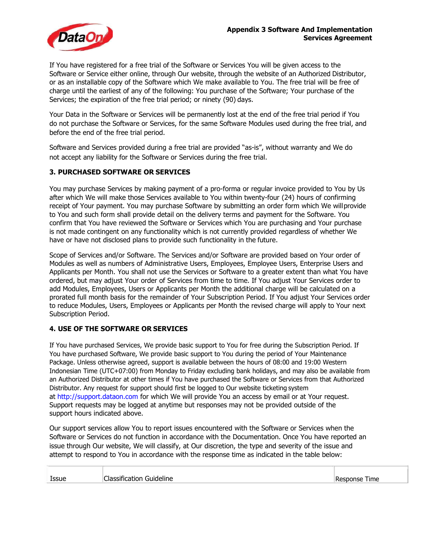

If You have registered for a free trial of the Software or Services You will be given access to the Software or Service either online, through Our website, through the website of an Authorized Distributor, or as an installable copy of the Software which We make available to You. The free trial will be free of charge until the earliest of any of the following: You purchase of the Software; Your purchase of the Services; the expiration of the free trial period; or ninety (90) days.

Your Data in the Software or Services will be permanently lost at the end of the free trial period if You do not purchase the Software or Services, for the same Software Modules used during the free trial, and before the end of the free trial period.

Software and Services provided during a free trial are provided "as-is", without warranty and We do not accept any liability for the Software or Services during the free trial.

#### **3. PURCHASED SOFTWARE OR SERVICES**

You may purchase Services by making payment of a pro-forma or regular invoice provided to You by Us after which We will make those Services available to You within twenty-four (24) hours of confirming receipt of Your payment. You may purchase Software by submitting an order form which We willprovide to You and such form shall provide detail on the delivery terms and payment for the Software. You confirm that You have reviewed the Software or Services which You are purchasing and Your purchase is not made contingent on any functionality which is not currently provided regardless of whether We have or have not disclosed plans to provide such functionality in the future.

Scope of Services and/or Software. The Services and/or Software are provided based on Your order of Modules as well as numbers of Administrative Users, Employees, Employee Users, Enterprise Users and Applicants per Month. You shall not use the Services or Software to a greater extent than what You have ordered, but may adjust Your order of Services from time to time. If You adjust Your Services order to add Modules, Employees, Users or Applicants per Month the additional charge will be calculated on a prorated full month basis for the remainder of Your Subscription Period. If You adjust Your Services order to reduce Modules, Users, Employees or Applicants per Month the revised charge will apply to Your next Subscription Period.

#### **4. USE OF THE SOFTWARE OR SERVICES**

If You have purchased Services, We provide basic support to You for free during the Subscription Period. If You have purchased Software, We provide basic support to You during the period of Your Maintenance Package. Unless otherwise agreed, support is available between the hours of 08:00 and 19:00 Western Indonesian Time (UTC+07:00) from Monday to Friday excluding bank holidays, and may also be available from an Authorized Distributor at other times if You have purchased the Software or Services from that Authorized Distributor. Any request for support should first be logged to Our website ticketing system at http://support.dataon.com for which We will provide You an access by email or at Your request. Support requests may be logged at anytime but responses may not be provided outside of the support hours indicated above.

Our support services allow You to report issues encountered with the Software or Services when the Software or Services do not function in accordance with the Documentation. Once You have reported an issue through Our website, We will classify, at Our discretion, the type and severity of the issue and attempt to respond to You in accordance with the response time as indicated in the table below:

|  | <b>Issue</b> | Classification Guideline | !Response Time |
|--|--------------|--------------------------|----------------|
|--|--------------|--------------------------|----------------|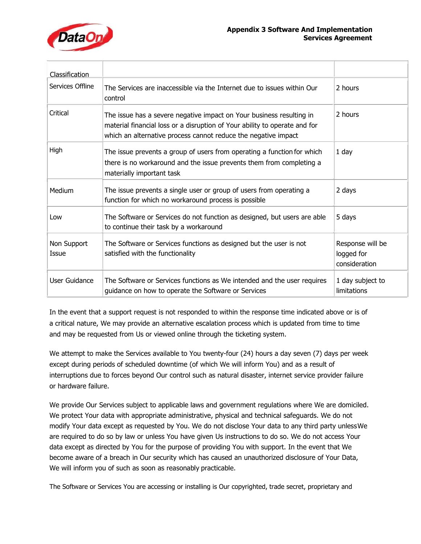

| <b>Classification</b> |                                                                                                                                                                                                                      |                                                 |
|-----------------------|----------------------------------------------------------------------------------------------------------------------------------------------------------------------------------------------------------------------|-------------------------------------------------|
| Services Offline      | The Services are inaccessible via the Internet due to issues within Our<br>control                                                                                                                                   | 2 hours                                         |
| Critical              | The issue has a severe negative impact on Your business resulting in<br>material financial loss or a disruption of Your ability to operate and for<br>which an alternative process cannot reduce the negative impact | 2 hours                                         |
| High                  | The issue prevents a group of users from operating a function for which<br>there is no workaround and the issue prevents them from completing a<br>materially important task                                         | $1$ day                                         |
| Medium                | The issue prevents a single user or group of users from operating a<br>function for which no workaround process is possible                                                                                          | 2 days                                          |
| Low                   | The Software or Services do not function as designed, but users are able<br>to continue their task by a workaround                                                                                                   | 5 days                                          |
| Non Support<br>Issue  | The Software or Services functions as designed but the user is not<br>satisfied with the functionality                                                                                                               | Response will be<br>logged for<br>consideration |
| User Guidance         | The Software or Services functions as We intended and the user requires<br>guidance on how to operate the Software or Services                                                                                       | 1 day subject to<br>limitations                 |

In the event that a support request is not responded to within the response time indicated above or is of a critical nature, We may provide an alternative escalation process which is updated from time to time and may be requested from Us or viewed online through the ticketing system.

We attempt to make the Services available to You twenty-four (24) hours a day seven (7) days per week except during periods of scheduled downtime (of which We will inform You) and as a result of interruptions due to forces beyond Our control such as natural disaster, internet service provider failure or hardware failure.

We provide Our Services subject to applicable laws and government regulations where We are domiciled. We protect Your data with appropriate administrative, physical and technical safeguards. We do not modify Your data except as requested by You. We do not disclose Your data to any third party unlessWe are required to do so by law or unless You have given Us instructions to do so. We do not access Your data except as directed by You for the purpose of providing You with support. In the event that We become aware of a breach in Our security which has caused an unauthorized disclosure of Your Data, We will inform you of such as soon as reasonably practicable.

The Software or Services You are accessing or installing is Our copyrighted, trade secret, proprietary and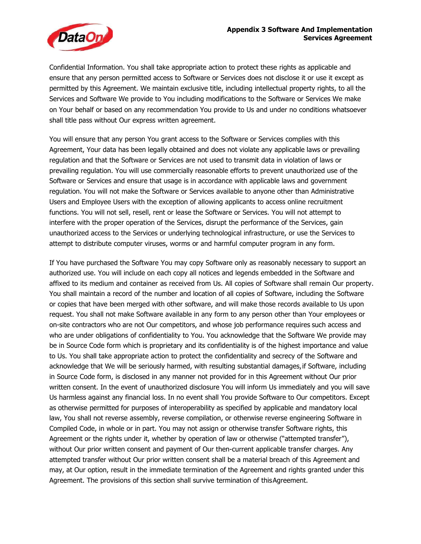

Confidential Information. You shall take appropriate action to protect these rights as applicable and ensure that any person permitted access to Software or Services does not disclose it or use it except as permitted by this Agreement. We maintain exclusive title, including intellectual property rights, to all the Services and Software We provide to You including modifications to the Software or Services We make on Your behalf or based on any recommendation You provide to Us and under no conditions whatsoever shall title pass without Our express written agreement.

You will ensure that any person You grant access to the Software or Services complies with this Agreement, Your data has been legally obtained and does not violate any applicable laws or prevailing regulation and that the Software or Services are not used to transmit data in violation of laws or prevailing regulation. You will use commercially reasonable efforts to prevent unauthorized use of the Software or Services and ensure that usage is in accordance with applicable laws and government regulation. You will not make the Software or Services available to anyone other than Administrative Users and Employee Users with the exception of allowing applicants to access online recruitment functions. You will not sell, resell, rent or lease the Software or Services. You will not attempt to interfere with the proper operation of the Services, disrupt the performance of the Services, gain unauthorized access to the Services or underlying technological infrastructure, or use the Services to attempt to distribute computer viruses, worms or and harmful computer program in any form.

If You have purchased the Software You may copy Software only as reasonably necessary to support an authorized use. You will include on each copy all notices and legends embedded in the Software and affixed to its medium and container as received from Us. All copies of Software shall remain Our property. You shall maintain a record of the number and location of all copies of Software, including the Software or copies that have been merged with other software, and will make those records available to Us upon request. You shall not make Software available in any form to any person other than Your employees or on-site contractors who are not Our competitors, and whose job performance requires such access and who are under obligations of confidentiality to You. You acknowledge that the Software We provide may be in Source Code form which is proprietary and its confidentiality is of the highest importance and value to Us. You shall take appropriate action to protect the confidentiality and secrecy of the Software and acknowledge that We will be seriously harmed, with resulting substantial damages,if Software, including in Source Code form, is disclosed in any manner not provided for in this Agreement without Our prior written consent. In the event of unauthorized disclosure You will inform Us immediately and you will save Us harmless against any financial loss. In no event shall You provide Software to Our competitors. Except as otherwise permitted for purposes of interoperability as specified by applicable and mandatory local law, You shall not reverse assembly, reverse compilation, or otherwise reverse engineering Software in Compiled Code, in whole or in part. You may not assign or otherwise transfer Software rights, this Agreement or the rights under it, whether by operation of law or otherwise ("attempted transfer"), without Our prior written consent and payment of Our then-current applicable transfer charges. Any attempted transfer without Our prior written consent shall be a material breach of this Agreement and may, at Our option, result in the immediate termination of the Agreement and rights granted under this Agreement. The provisions of this section shall survive termination of thisAgreement.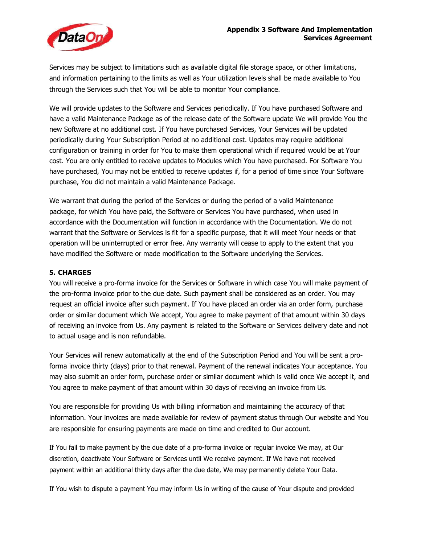

Services may be subject to limitations such as available digital file storage space, or other limitations, and information pertaining to the limits as well as Your utilization levels shall be made available to You through the Services such that You will be able to monitor Your compliance.

We will provide updates to the Software and Services periodically. If You have purchased Software and have a valid Maintenance Package as of the release date of the Software update We will provide You the new Software at no additional cost. If You have purchased Services, Your Services will be updated periodically during Your Subscription Period at no additional cost. Updates may require additional configuration or training in order for You to make them operational which if required would be at Your cost. You are only entitled to receive updates to Modules which You have purchased. For Software You have purchased, You may not be entitled to receive updates if, for a period of time since Your Software purchase, You did not maintain a valid Maintenance Package.

We warrant that during the period of the Services or during the period of a valid Maintenance package, for which You have paid, the Software or Services You have purchased, when used in accordance with the Documentation will function in accordance with the Documentation. We do not warrant that the Software or Services is fit for a specific purpose, that it will meet Your needs or that operation will be uninterrupted or error free. Any warranty will cease to apply to the extent that you have modified the Software or made modification to the Software underlying the Services.

## **5. CHARGES**

You will receive a pro-forma invoice for the Services or Software in which case You will make payment of the pro-forma invoice prior to the due date. Such payment shall be considered as an order. You may request an official invoice after such payment. If You have placed an order via an order form, purchase order or similar document which We accept, You agree to make payment of that amount within 30 days of receiving an invoice from Us. Any payment is related to the Software or Services delivery date and not to actual usage and is non refundable.

Your Services will renew automatically at the end of the Subscription Period and You will be sent a proforma invoice thirty (days) prior to that renewal. Payment of the renewal indicates Your acceptance. You may also submit an order form, purchase order or similar document which is valid once We accept it, and You agree to make payment of that amount within 30 days of receiving an invoice from Us.

You are responsible for providing Us with billing information and maintaining the accuracy of that information. Your invoices are made available for review of payment status through Our website and You are responsible for ensuring payments are made on time and credited to Our account.

If You fail to make payment by the due date of a pro-forma invoice or regular invoice We may, at Our discretion, deactivate Your Software or Services until We receive payment. If We have not received payment within an additional thirty days after the due date, We may permanently delete Your Data.

If You wish to dispute a payment You may inform Us in writing of the cause of Your dispute and provided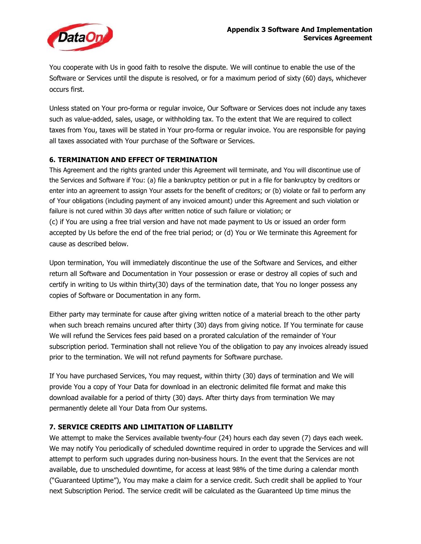

You cooperate with Us in good faith to resolve the dispute. We will continue to enable the use of the Software or Services until the dispute is resolved, or for a maximum period of sixty (60) days, whichever occurs first.

Unless stated on Your pro-forma or regular invoice, Our Software or Services does not include any taxes such as value-added, sales, usage, or withholding tax. To the extent that We are required to collect taxes from You, taxes will be stated in Your pro-forma or regular invoice. You are responsible for paying all taxes associated with Your purchase of the Software or Services.

## **6. TERMINATION AND EFFECT OF TERMINATION**

This Agreement and the rights granted under this Agreement will terminate, and You will discontinue use of the Services and Software if You: (a) file a bankruptcy petition or put in a file for bankruptcy by creditors or enter into an agreement to assign Your assets for the benefit of creditors; or (b) violate or fail to perform any of Your obligations (including payment of any invoiced amount) under this Agreement and such violation or failure is not cured within 30 days after written notice of such failure or violation; or (c) if You are using a free trial version and have not made payment to Us or issued an order form accepted by Us before the end of the free trial period; or (d) You or We terminate this Agreement for cause as described below.

Upon termination, You will immediately discontinue the use of the Software and Services, and either return all Software and Documentation in Your possession or erase or destroy all copies of such and certify in writing to Us within thirty(30) days of the termination date, that You no longer possess any copies of Software or Documentation in any form.

Either party may terminate for cause after giving written notice of a material breach to the other party when such breach remains uncured after thirty (30) days from giving notice. If You terminate for cause We will refund the Services fees paid based on a prorated calculation of the remainder of Your subscription period. Termination shall not relieve You of the obligation to pay any invoices already issued prior to the termination. We will not refund payments for Software purchase.

If You have purchased Services, You may request, within thirty (30) days of termination and We will provide You a copy of Your Data for download in an electronic delimited file format and make this download available for a period of thirty (30) days. After thirty days from termination We may permanently delete all Your Data from Our systems.

## **7. SERVICE CREDITS AND LIMITATION OF LIABILITY**

We attempt to make the Services available twenty-four (24) hours each day seven (7) days each week. We may notify You periodically of scheduled downtime required in order to upgrade the Services and will attempt to perform such upgrades during non-business hours. In the event that the Services are not available, due to unscheduled downtime, for access at least 98% of the time during a calendar month ("Guaranteed Uptime"), You may make a claim for a service credit. Such credit shall be applied to Your next Subscription Period. The service credit will be calculated as the Guaranteed Up time minus the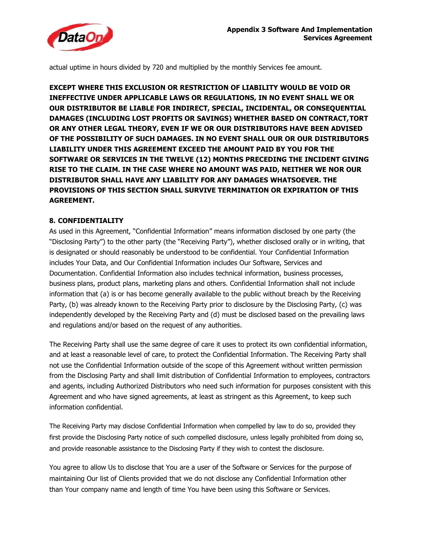

actual uptime in hours divided by 720 and multiplied by the monthly Services fee amount.

**EXCEPT WHERE THIS EXCLUSION OR RESTRICTION OF LIABILITY WOULD BE VOID OR INEFFECTIVE UNDER APPLICABLE LAWS OR REGULATIONS, IN NO EVENT SHALL WE OR OUR DISTRIBUTOR BE LIABLE FOR INDIRECT, SPECIAL, INCIDENTAL, OR CONSEQUENTIAL DAMAGES (INCLUDING LOST PROFITS OR SAVINGS) WHETHER BASED ON CONTRACT,TORT OR ANY OTHER LEGAL THEORY, EVEN IF WE OR OUR DISTRIBUTORS HAVE BEEN ADVISED OF THE POSSIBILITY OF SUCH DAMAGES. IN NO EVENT SHALL OUR OR OUR DISTRIBUTORS LIABILITY UNDER THIS AGREEMENT EXCEED THE AMOUNT PAID BY YOU FOR THE SOFTWARE OR SERVICES IN THE TWELVE (12) MONTHS PRECEDING THE INCIDENT GIVING RISE TO THE CLAIM. IN THE CASE WHERE NO AMOUNT WAS PAID, NEITHER WE NOR OUR DISTRIBUTOR SHALL HAVE ANY LIABILITY FOR ANY DAMAGES WHATSOEVER. THE PROVISIONS OF THIS SECTION SHALL SURVIVE TERMINATION OR EXPIRATION OF THIS AGREEMENT.**

## **8. CONFIDENTIALITY**

As used in this Agreement, "Confidential Information" means information disclosed by one party (the "Disclosing Party") to the other party (the "Receiving Party"), whether disclosed orally or in writing, that is designated or should reasonably be understood to be confidential. Your Confidential Information includes Your Data, and Our Confidential Information includes Our Software, Services and Documentation. Confidential Information also includes technical information, business processes, business plans, product plans, marketing plans and others. Confidential Information shall not include information that (a) is or has become generally available to the public without breach by the Receiving Party, (b) was already known to the Receiving Party prior to disclosure by the Disclosing Party, (c) was independently developed by the Receiving Party and (d) must be disclosed based on the prevailing laws and regulations and/or based on the request of any authorities.

The Receiving Party shall use the same degree of care it uses to protect its own confidential information, and at least a reasonable level of care, to protect the Confidential Information. The Receiving Party shall not use the Confidential Information outside of the scope of this Agreement without written permission from the Disclosing Party and shall limit distribution of Confidential Information to employees, contractors and agents, including Authorized Distributors who need such information for purposes consistent with this Agreement and who have signed agreements, at least as stringent as this Agreement, to keep such information confidential.

The Receiving Party may disclose Confidential Information when compelled by law to do so, provided they first provide the Disclosing Party notice of such compelled disclosure, unless legally prohibited from doing so, and provide reasonable assistance to the Disclosing Party if they wish to contest the disclosure.

You agree to allow Us to disclose that You are a user of the Software or Services for the purpose of maintaining Our list of Clients provided that we do not disclose any Confidential Information other than Your company name and length of time You have been using this Software or Services.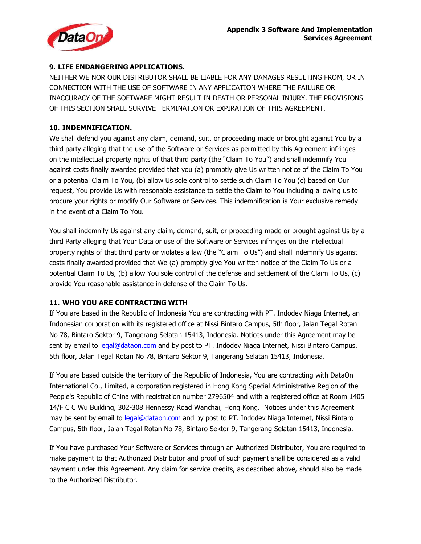

## **9. LIFE ENDANGERING APPLICATIONS.**

NEITHER WE NOR OUR DISTRIBUTOR SHALL BE LIABLE FOR ANY DAMAGES RESULTING FROM, OR IN CONNECTION WITH THE USE OF SOFTWARE IN ANY APPLICATION WHERE THE FAILURE OR INACCURACY OF THE SOFTWARE MIGHT RESULT IN DEATH OR PERSONAL INJURY. THE PROVISIONS OF THIS SECTION SHALL SURVIVE TERMINATION OR EXPIRATION OF THIS AGREEMENT.

## **10. INDEMNIFICATION.**

We shall defend you against any claim, demand, suit, or proceeding made or brought against You by a third party alleging that the use of the Software or Services as permitted by this Agreement infringes on the intellectual property rights of that third party (the "Claim To You") and shall indemnify You against costs finally awarded provided that you (a) promptly give Us written notice of the Claim To You or a potential Claim To You, (b) allow Us sole control to settle such Claim To You (c) based on Our request, You provide Us with reasonable assistance to settle the Claim to You including allowing us to procure your rights or modify Our Software or Services. This indemnification is Your exclusive remedy in the event of a Claim To You.

You shall indemnify Us against any claim, demand, suit, or proceeding made or brought against Us by a third Party alleging that Your Data or use of the Software or Services infringes on the intellectual property rights of that third party or violates a law (the "Claim To Us") and shall indemnify Us against costs finally awarded provided that We (a) promptly give You written notice of the Claim To Us or a potential Claim To Us, (b) allow You sole control of the defense and settlement of the Claim To Us, (c) provide You reasonable assistance in defense of the Claim To Us.

# **11. WHO YOU ARE CONTRACTING WITH**

If You are based in the Republic of Indonesia You are contracting with PT. Indodev Niaga Internet, an Indonesian corporation with its registered office at Nissi Bintaro Campus, 5th floor, Jalan Tegal Rotan No 78, Bintaro Sektor 9, Tangerang Selatan 15413, Indonesia. Notices under this Agreement may be sent by email to legal@dataon.com and by post to PT. Indodev Niaga Internet, Nissi Bintaro Campus, 5th floor, Jalan Tegal Rotan No 78, Bintaro Sektor 9, Tangerang Selatan 15413, Indonesia.

If You are based outside the territory of the Republic of Indonesia, You are contracting with DataOn International Co., Limited, a corporation registered in Hong Kong Special Administrative Region of the People's Republic of China with registration number 2796504 and with a registered office at Room 1405 14/F C C Wu Building, 302-308 Hennessy Road Wanchai, Hong Kong. Notices under this Agreement may be sent by email to legal@dataon.com and by post to PT. Indodev Niaga Internet, Nissi Bintaro Campus, 5th floor, Jalan Tegal Rotan No 78, Bintaro Sektor 9, Tangerang Selatan 15413, Indonesia.

If You have purchased Your Software or Services through an Authorized Distributor, You are required to make payment to that Authorized Distributor and proof of such payment shall be considered as a valid payment under this Agreement. Any claim for service credits, as described above, should also be made to the Authorized Distributor.